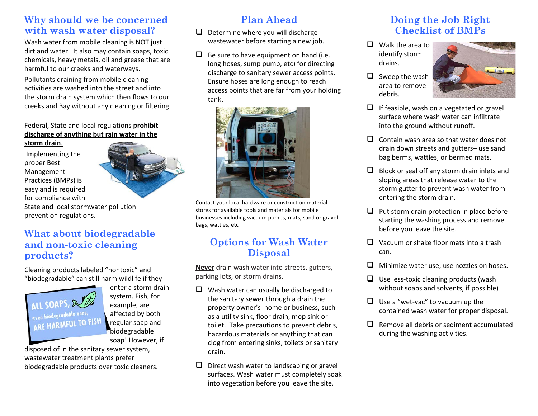# **Why should we be concerned with wash water disposal?**

Wash water from mobile cleaning is NOT just dirt and water. It also may contain soaps, toxic chemicals, heavy metals, oil and grease that are harmful to our creeks and waterways.

Pollutants draining from mobile cleaning activities are washed into the street and into the storm drain system which then flows to our creeks and Bay without any cleaning or filtering.

#### Federal, State and local regulations **prohibit discharge of anything but rain water in the**

**storm drain**.

Implementing the proper Best Management Practices (BMPs) is easy and is required for compliance with



State and local stormwater pollution prevention regulations.

# **What about biodegradable and non-toxic cleaning products?**

Cleaning products labeled "nontoxic" and "biodegradable" can still harm wildlife if they



enter a storm drain system. Fish, for example, are affected by both regular soap and biodegradable soap! However, if

disposed of in the sanitary sewer system, wastewater treatment plants prefer biodegradable products over toxic cleaners.

# **Plan Ahead**

- $\Box$  Determine where you will discharge wastewater before starting a new job.
- $\Box$  Be sure to have equipment on hand (i.e. long hoses, sump pump, etc) for directing discharge to sanitary sewer access points. Ensure hoses are long enough to reach access points that are far from your holding tank.



Contact your local hardware or construction material stores for available tools and materials for mobile businesses including vacuum pumps, mats, sand or gravel bags, wattles, etc

# **Options for Wash Water Disposal**

**Never** drain wash water into streets, gutters, parking lots, or storm drains.

- $\Box$  Wash water can usually be discharged to the sanitary sewer through a drain the property owner's home or business, such as a utility sink, floor drain, mop sink or toilet. Take precautions to prevent debris, hazardous materials or anything that can clog from entering sinks, toilets or sanitary drain.
- $\Box$  Direct wash water to landscaping or gravel surfaces. Wash water must completely soak into vegetation before you leave the site.

# **Doing the Job Right Checklist of BMPs**

- $\Box$  Walk the area to identify storm drains.
- $\Box$  Sweep the wash area to remove debris.



- $\Box$  If feasible, wash on a vegetated or gravel surface where wash water can infiltrate into the ground without runoff.
- $\Box$  Contain wash area so that water does not drain down streets and gutters– use sand bag berms, wattles, or bermed mats.
- $\Box$  Block or seal off any storm drain inlets and sloping areas that release water to the storm gutter to prevent wash water from entering the storm drain.
- $\Box$  Put storm drain protection in place before starting the washing process and remove before you leave the site.
- $\Box$  Vacuum or shake floor mats into a trash can.
- $\Box$  Minimize water use; use nozzles on hoses.
- $\Box$  Use less-toxic cleaning products (wash without soaps and solvents, if possible)
- $\Box$  Use a "wet-vac" to vacuum up the contained wash water for proper disposal.
- $\Box$  Remove all debris or sediment accumulated during the washing activities.